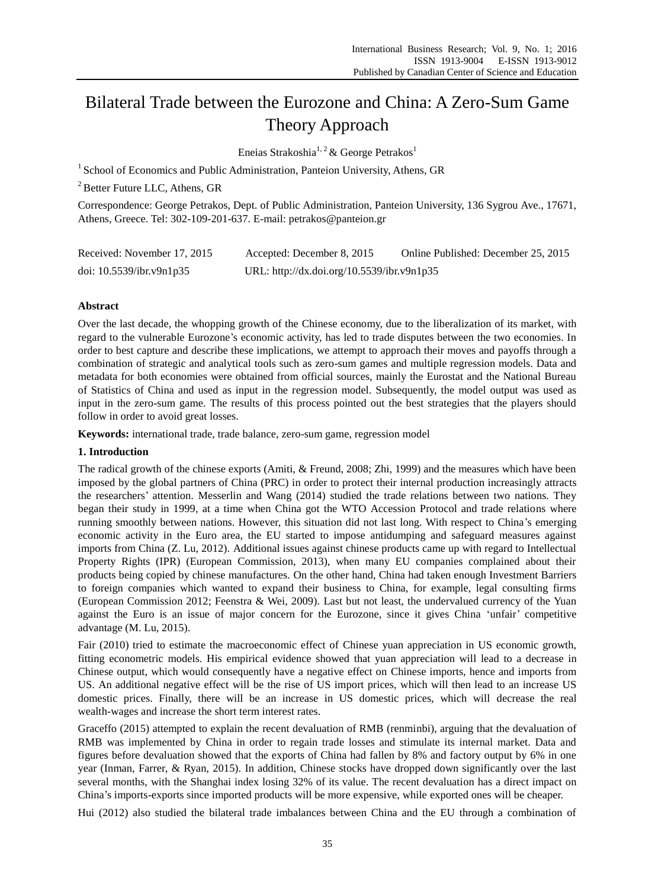# Bilateral Trade between the Eurozone and China: A Zero-Sum Game Theory Approach

Eneias Strakoshia<sup>1, 2</sup> & George Petrakos<sup>1</sup>

<sup>1</sup> School of Economics and Public Administration, Panteion University, Athens, GR

<sup>2</sup> Better Future LLC, Athens, GR

Correspondence: George Petrakos, Dept. of Public Administration, Panteion University, 136 Sygrou Ave., 17671, Athens, Greece. Tel: 302-109-201-637. E-mail: petrakos@panteion.gr

| Received: November 17, 2015 | Accepted: December 8, 2015                 | Online Published: December 25, 2015 |
|-----------------------------|--------------------------------------------|-------------------------------------|
| doi: $10.5539$ /ibr.v9n1p35 | URL: http://dx.doi.org/10.5539/ibr.v9n1p35 |                                     |

# **Abstract**

Over the last decade, the whopping growth of the Chinese economy, due to the liberalization of its market, with regard to the vulnerable Eurozone's economic activity, has led to trade disputes between the two economies. In order to best capture and describe these implications, we attempt to approach their moves and payoffs through a combination of strategic and analytical tools such as zero-sum games and multiple regression models. Data and metadata for both economies were obtained from official sources, mainly the Eurostat and the National Bureau of Statistics of China and used as input in the regression model. Subsequently, the model output was used as input in the zero-sum game. The results of this process pointed out the best strategies that the players should follow in order to avoid great losses.

**Keywords:** international trade, trade balance, zero-sum game, regression model

#### **1. Introduction**

The radical growth of the chinese exports (Amiti, & Freund, 2008; Zhi, 1999) and the measures which have been imposed by the global partners of China (PRC) in order to protect their internal production increasingly attracts the researchers' attention. Messerlin and Wang (2014) studied the trade relations between two nations. They began their study in 1999, at a time when China got the WTO Accession Protocol and trade relations where running smoothly between nations. However, this situation did not last long. With respect to China's emerging economic activity in the Euro area, the EU started to impose antidumping and safeguard measures against imports from China (Z. Lu, 2012). Additional issues against chinese products came up with regard to Intellectual Property Rights (IPR) (European Commission, 2013), when many EU companies complained about their products being copied by chinese manufactures. On the other hand, China had taken enough Investment Barriers to foreign companies which wanted to expand their business to China, for example, legal consulting firms (European Commission 2012; Feenstra & Wei, 2009). Last but not least, the undervalued currency of the Yuan against the Euro is an issue of major concern for the Eurozone, since it gives China 'unfair' competitive advantage (M. Lu, 2015).

Fair (2010) tried to estimate the macroeconomic effect of Chinese yuan appreciation in US economic growth, fitting econometric models. His empirical evidence showed that yuan appreciation will lead to a decrease in Chinese output, which would consequently have a negative effect on Chinese imports, hence and imports from US. An additional negative effect will be the rise of US import prices, which will then lead to an increase US domestic prices. Finally, there will be an increase in US domestic prices, which will decrease the real wealth-wages and increase the short term interest rates.

Graceffo (2015) attempted to explain the recent devaluation of RMB (renminbi), arguing that the devaluation of RMB was implemented by China in order to regain trade losses and stimulate its internal market. Data and figures before devaluation showed that the exports of China had fallen by 8% and factory output by 6% in one year (Inman, Farrer, & Ryan, 2015). In addition, Chinese stocks have dropped down significantly over the last several months, with the Shanghai index losing 32% of its value. The recent devaluation has a direct impact on China's imports-exports since imported products will be more expensive, while exported ones will be cheaper.

Hui (2012) also studied the bilateral trade imbalances between China and the EU through a combination of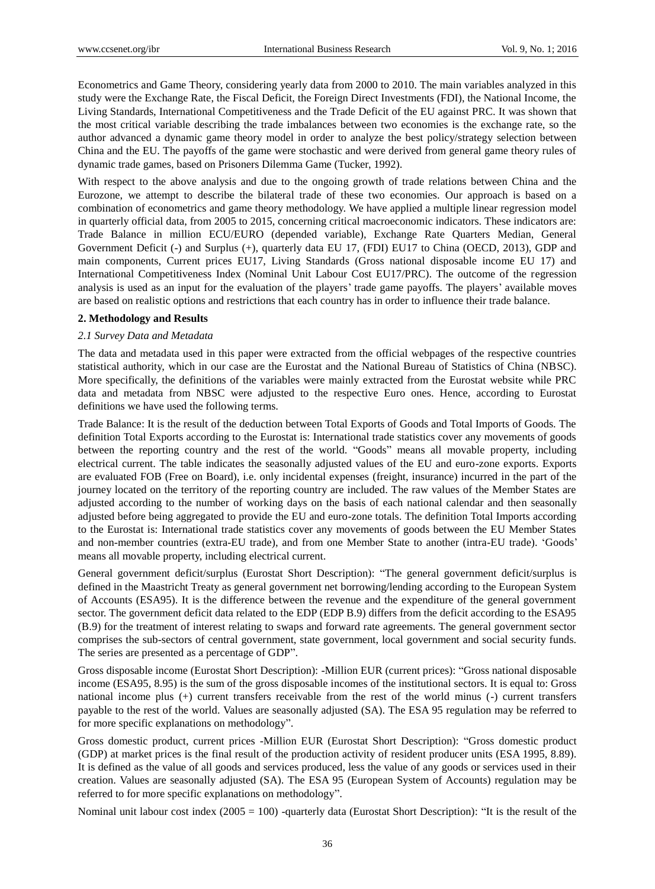Econometrics and Game Theory, considering yearly data from 2000 to 2010. The main variables analyzed in this study were the Exchange Rate, the Fiscal Deficit, the Foreign Direct Investments (FDI), the National Income, the Living Standards, International Competitiveness and the Trade Deficit of the EU against PRC. It was shown that the most critical variable describing the trade imbalances between two economies is the exchange rate, so the author advanced a dynamic game theory model in order to analyze the best policy/strategy selection between China and the EU. The payoffs of the game were stochastic and were derived from general game theory rules of dynamic trade games, based on Prisoners Dilemma Game (Tucker, 1992).

With respect to the above analysis and due to the ongoing growth of trade relations between China and the Eurozone, we attempt to describe the bilateral trade of these two economies. Our approach is based on a combination of econometrics and game theory methodology. We have applied a multiple linear regression model in quarterly official data, from 2005 to 2015, concerning critical macroeconomic indicators. These indicators are: Trade Balance in million ECU/EURO (depended variable), Exchange Rate Quarters Median, General Government Deficit (-) and Surplus (+), quarterly data EU 17, (FDI) EU17 to China (OECD, 2013), GDP and main components, Current prices EU17, Living Standards (Gross national disposable income EU 17) and International Competitiveness Index (Nominal Unit Labour Cost EU17/PRC). The outcome of the regression analysis is used as an input for the evaluation of the players' trade game payoffs. The players' available moves are based on realistic options and restrictions that each country has in order to influence their trade balance.

# **2. Methodology and Results**

#### *2.1 Survey Data and Metadata*

The data and metadata used in this paper were extracted from the official webpages of the respective countries statistical authority, which in our case are the Eurostat and the National Bureau of Statistics of China (NBSC). More specifically, the definitions of the variables were mainly extracted from the Eurostat website while PRC data and metadata from NBSC were adjusted to the respective Euro ones. Hence, according to Eurostat definitions we have used the following terms.

Trade Balance: It is the result of the deduction between Total Exports of Goods and Total Imports of Goods. The definition Total Exports according to the Eurostat is: International trade statistics cover any movements of goods between the reporting country and the rest of the world. "Goods" means all movable property, including electrical current. The table indicates the seasonally adjusted values of the EU and euro-zone exports. Exports are evaluated FOB (Free on Board), i.e. only incidental expenses (freight, insurance) incurred in the part of the journey located on the territory of the reporting country are included. The raw values of the Member States are adjusted according to the number of working days on the basis of each national calendar and then seasonally adjusted before being aggregated to provide the EU and euro-zone totals. The definition Total Imports according to the Eurostat is: International trade statistics cover any movements of goods between the EU Member States and non-member countries (extra-EU trade), and from one Member State to another (intra-EU trade). 'Goods' means all movable property, including electrical current.

General government deficit/surplus (Eurostat Short Description): "The general government deficit/surplus is defined in the Maastricht Treaty as general government net borrowing/lending according to the European System of Accounts (ESA95). It is the difference between the revenue and the expenditure of the general government sector. The government deficit data related to the EDP (EDP B.9) differs from the deficit according to the ESA95 (B.9) for the treatment of interest relating to swaps and forward rate agreements. The general government sector comprises the sub-sectors of central government, state government, local government and social security funds. The series are presented as a percentage of GDP".

Gross disposable income (Eurostat Short Description): -Million EUR (current prices): "Gross national disposable income (ESA95, 8.95) is the sum of the gross disposable incomes of the institutional sectors. It is equal to: Gross national income plus (+) current transfers receivable from the rest of the world minus (-) current transfers payable to the rest of the world. Values are seasonally adjusted (SA). The ESA 95 regulation may be referred to for more specific explanations on methodology".

Gross domestic product, current prices -Million EUR (Eurostat Short Description): "Gross domestic product (GDP) at market prices is the final result of the production activity of resident producer units (ESA 1995, 8.89). It is defined as the value of all goods and services produced, less the value of any goods or services used in their creation. Values are seasonally adjusted (SA). The ESA 95 (European System of Accounts) regulation may be referred to for more specific explanations on methodology".

Nominal unit labour cost index  $(2005 = 100)$  -quarterly data (Eurostat Short Description): "It is the result of the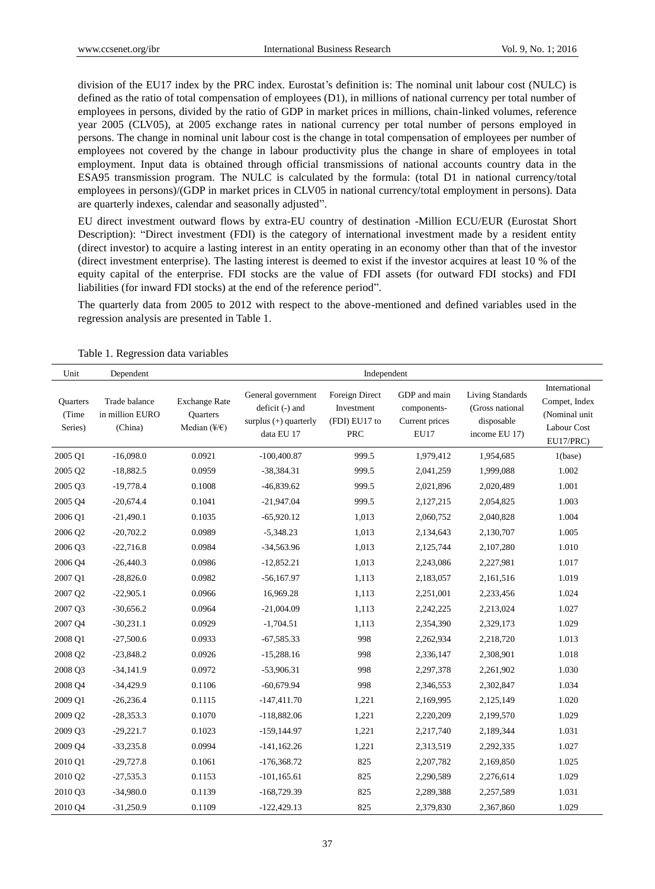division of the EU17 index by the PRC index. Eurostat's definition is: The nominal unit labour cost (NULC) is defined as the ratio of total compensation of employees (D1), in millions of national currency per total number of employees in persons, divided by the ratio of GDP in market prices in millions, chain-linked volumes, reference year 2005 (CLV05), at 2005 exchange rates in national currency per total number of persons employed in persons. The change in nominal unit labour cost is the change in total compensation of employees per number of employees not covered by the change in labour productivity plus the change in share of employees in total employment. Input data is obtained through official transmissions of national accounts country data in the ESA95 transmission program. The NULC is calculated by the formula: (total D1 in national currency/total employees in persons)/(GDP in market prices in CLV05 in national currency/total employment in persons). Data are quarterly indexes, calendar and seasonally adjusted".

EU direct investment outward flows by extra-EU country of destination -Million ECU/EUR (Eurostat Short Description): "Direct investment (FDI) is the category of international investment made by a resident entity (direct investor) to acquire a lasting interest in an entity operating in an economy other than that of the investor (direct investment enterprise). The lasting interest is deemed to exist if the investor acquires at least 10 % of the equity capital of the enterprise. FDI stocks are the value of FDI assets (for outward FDI stocks) and FDI liabilities (for inward FDI stocks) at the end of the reference period".

The quarterly data from 2005 to 2012 with respect to the above-mentioned and defined variables used in the regression analysis are presented in Table 1.

| Unit                         | Dependent                                   |                                                                    | Independent                                                                    |                                                             |                                                              |                                                                    |                                                                             |
|------------------------------|---------------------------------------------|--------------------------------------------------------------------|--------------------------------------------------------------------------------|-------------------------------------------------------------|--------------------------------------------------------------|--------------------------------------------------------------------|-----------------------------------------------------------------------------|
| Quarters<br>(Time<br>Series) | Trade balance<br>in million EURO<br>(China) | <b>Exchange Rate</b><br>Quarters<br>Median $(\frac{1}{2})\epsilon$ | General government<br>deficit (-) and<br>surplus $(+)$ quarterly<br>data EU 17 | Foreign Direct<br>Investment<br>(FDI) EU17 to<br><b>PRC</b> | GDP and main<br>components-<br>Current prices<br><b>EU17</b> | Living Standards<br>(Gross national<br>disposable<br>income EU 17) | International<br>Compet, Index<br>(Nominal unit<br>Labour Cost<br>EU17/PRC) |
| 2005 Q1                      | $-16,098.0$                                 | 0.0921                                                             | $-100,400.87$                                                                  | 999.5                                                       | 1,979,412                                                    | 1,954,685                                                          | 1(base)                                                                     |
| 2005 Q2                      | $-18,882.5$                                 | 0.0959                                                             | $-38,384.31$                                                                   | 999.5                                                       | 2,041,259                                                    | 1,999,088                                                          | 1.002                                                                       |
| 2005 Q3                      | $-19,778.4$                                 | 0.1008                                                             | $-46,839.62$                                                                   | 999.5                                                       | 2,021,896                                                    | 2,020,489                                                          | 1.001                                                                       |
| 2005 Q4                      | $-20,674.4$                                 | 0.1041                                                             | $-21,947.04$                                                                   | 999.5                                                       | 2,127,215                                                    | 2,054,825                                                          | 1.003                                                                       |
| 2006 Q1                      | $-21,490.1$                                 | 0.1035                                                             | $-65,920.12$                                                                   | 1,013                                                       | 2,060,752                                                    | 2,040,828                                                          | 1.004                                                                       |
| 2006 Q2                      | $-20,702.2$                                 | 0.0989                                                             | $-5,348.23$                                                                    | 1,013                                                       | 2,134,643                                                    | 2,130,707                                                          | 1.005                                                                       |
| 2006 Q3                      | $-22,716.8$                                 | 0.0984                                                             | $-34,563.96$                                                                   | 1,013                                                       | 2,125,744                                                    | 2,107,280                                                          | 1.010                                                                       |
| 2006 Q4                      | $-26,440.3$                                 | 0.0986                                                             | $-12,852.21$                                                                   | 1,013                                                       | 2,243,086                                                    | 2,227,981                                                          | 1.017                                                                       |
| 2007 Q1                      | $-28,826.0$                                 | 0.0982                                                             | $-56,167.97$                                                                   | 1,113                                                       | 2,183,057                                                    | 2,161,516                                                          | 1.019                                                                       |
| 2007 Q2                      | $-22,905.1$                                 | 0.0966                                                             | 16,969.28                                                                      | 1,113                                                       | 2,251,001                                                    | 2,233,456                                                          | 1.024                                                                       |
| 2007 Q3                      | $-30,656.2$                                 | 0.0964                                                             | $-21,004.09$                                                                   | 1,113                                                       | 2,242,225                                                    | 2,213,024                                                          | 1.027                                                                       |
| 2007 Q4                      | $-30,231.1$                                 | 0.0929                                                             | $-1,704.51$                                                                    | 1,113                                                       | 2,354,390                                                    | 2,329,173                                                          | 1.029                                                                       |
| 2008 Q1                      | $-27,500.6$                                 | 0.0933                                                             | $-67,585.33$                                                                   | 998                                                         | 2,262,934                                                    | 2,218,720                                                          | 1.013                                                                       |
| 2008 Q2                      | $-23,848.2$                                 | 0.0926                                                             | $-15,288.16$                                                                   | 998                                                         | 2,336,147                                                    | 2,308,901                                                          | 1.018                                                                       |
| 2008 Q3                      | $-34,141.9$                                 | 0.0972                                                             | $-53,906.31$                                                                   | 998                                                         | 2,297,378                                                    | 2,261,902                                                          | 1.030                                                                       |
| 2008 Q4                      | $-34,429.9$                                 | 0.1106                                                             | $-60,679.94$                                                                   | 998                                                         | 2,346,553                                                    | 2,302,847                                                          | 1.034                                                                       |
| 2009 Q1                      | $-26,236.4$                                 | 0.1115                                                             | $-147,411.70$                                                                  | 1,221                                                       | 2,169,995                                                    | 2,125,149                                                          | 1.020                                                                       |
| 2009 Q2                      | $-28,353.3$                                 | 0.1070                                                             | $-118,882.06$                                                                  | 1,221                                                       | 2,220,209                                                    | 2,199,570                                                          | 1.029                                                                       |
| 2009 Q3                      | $-29,221.7$                                 | 0.1023                                                             | $-159, 144.97$                                                                 | 1,221                                                       | 2,217,740                                                    | 2,189,344                                                          | 1.031                                                                       |
| 2009 Q4                      | $-33,235.8$                                 | 0.0994                                                             | $-141, 162.26$                                                                 | 1,221                                                       | 2,313,519                                                    | 2,292,335                                                          | 1.027                                                                       |
| 2010 Q1                      | $-29,727.8$                                 | 0.1061                                                             | $-176,368.72$                                                                  | 825                                                         | 2,207,782                                                    | 2,169,850                                                          | 1.025                                                                       |
| 2010 Q2                      | $-27,535.3$                                 | 0.1153                                                             | $-101, 165.61$                                                                 | 825                                                         | 2,290,589                                                    | 2,276,614                                                          | 1.029                                                                       |
| 2010 Q3                      | $-34,980.0$                                 | 0.1139                                                             | $-168,729.39$                                                                  | 825                                                         | 2,289,388                                                    | 2,257,589                                                          | 1.031                                                                       |
| 2010 Q4                      | $-31,250.9$                                 | 0.1109                                                             | $-122,429.13$                                                                  | 825                                                         | 2,379,830                                                    | 2,367,860                                                          | 1.029                                                                       |

Table 1. Regression data variables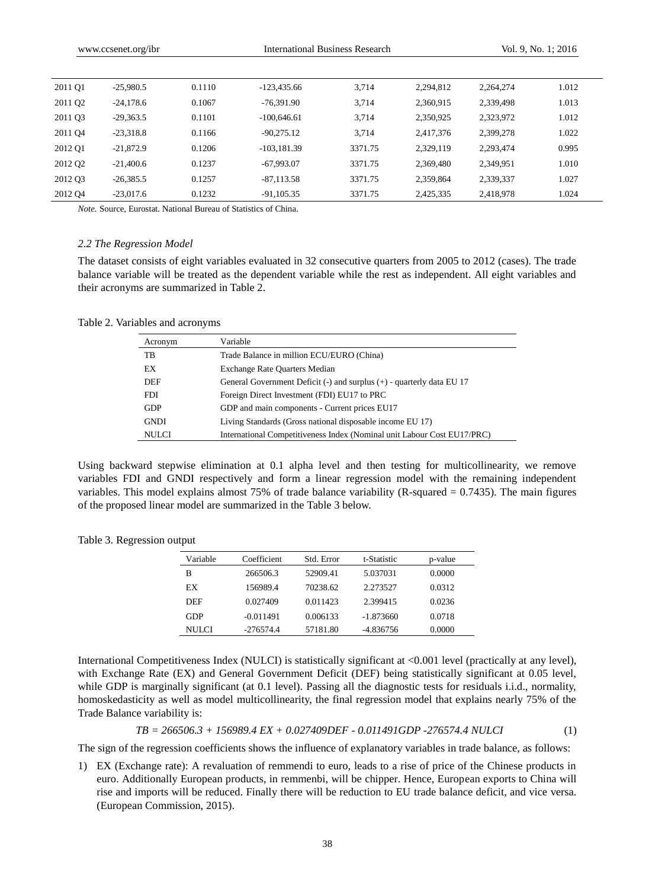www.ccsenet.org/ibr International Business Research Vol. 9, No. 1; 2016

| 2011 Q1             | $-25.980.5$ | 0.1110 | $-123.435.66$ | 3.714   | 2.294.812 | 2.264.274 | 1.012 |
|---------------------|-------------|--------|---------------|---------|-----------|-----------|-------|
| 2011 Q <sub>2</sub> | $-24.178.6$ | 0.1067 | $-76.391.90$  | 3.714   | 2,360,915 | 2,339,498 | 1.013 |
| 2011 Q3             | $-29.363.5$ | 0.1101 | $-100.646.61$ | 3.714   | 2,350,925 | 2,323,972 | 1.012 |
| 2011 Q4             | $-23.318.8$ | 0.1166 | $-90.275.12$  | 3.714   | 2.417.376 | 2,399,278 | 1.022 |
| 2012 Q1             | $-21.872.9$ | 0.1206 | $-103.181.39$ | 3371.75 | 2.329.119 | 2,293,474 | 0.995 |
| 2012 Q <sub>2</sub> | $-21,400.6$ | 0.1237 | $-67.993.07$  | 3371.75 | 2.369.480 | 2,349,951 | 1.010 |
| 2012 Q3             | $-26,385.5$ | 0.1257 | $-87.113.58$  | 3371.75 | 2,359,864 | 2,339,337 | 1.027 |
| 2012 Q4             | $-23,017.6$ | 0.1232 | $-91,105.35$  | 3371.75 | 2,425,335 | 2,418,978 | 1.024 |

*Note.* Source, Eurostat. National Bureau of Statistics of China.

# *2.2 The Regression Model*

The dataset consists of eight variables evaluated in 32 consecutive quarters from 2005 to 2012 (cases). The trade balance variable will be treated as the dependent variable while the rest as independent. All eight variables and their acronyms are summarized in Table 2.

#### Table 2. Variables and acronyms

| Acronym     | Variable                                                                |
|-------------|-------------------------------------------------------------------------|
| TB          | Trade Balance in million ECU/EURO (China)                               |
| EX          | <b>Exchange Rate Quarters Median</b>                                    |
| <b>DEF</b>  | General Government Deficit (-) and surplus $(+)$ - quarterly data EU 17 |
| <b>FDI</b>  | Foreign Direct Investment (FDI) EU17 to PRC                             |
| <b>GDP</b>  | GDP and main components - Current prices EU17                           |
| <b>GNDI</b> | Living Standards (Gross national disposable income EU 17)               |
| NULCI       | International Competitiveness Index (Nominal unit Labour Cost EU17/PRC) |

Using backward stepwise elimination at 0.1 alpha level and then testing for multicollinearity, we remove variables FDI and GNDI respectively and form a linear regression model with the remaining independent variables. This model explains almost 75% of trade balance variability (R-squared = 0.7435). The main figures of the proposed linear model are summarized in the Table 3 below.

|  | Table 3. Regression output |  |
|--|----------------------------|--|

| Variable | Coefficient | Std. Error | t-Statistic | p-value |
|----------|-------------|------------|-------------|---------|
| B        | 266506.3    | 52909.41   | 5.037031    | 0.0000  |
| EX       | 156989.4    | 70238.62   | 2.273527    | 0.0312  |
| DEF      | 0.027409    | 0.011423   | 2.399415    | 0.0236  |
| GDP      | $-0.011491$ | 0.006133   | $-1.873660$ | 0.0718  |
| NULCI    | $-276574.4$ | 57181.80   | $-4.836756$ | 0.0000  |

International Competitiveness Index (NULCI) is statistically significant at <0.001 level (practically at any level), with Exchange Rate (EX) and General Government Deficit (DEF) being statistically significant at 0.05 level, while GDP is marginally significant (at 0.1 level). Passing all the diagnostic tests for residuals i.i.d., normality, homoskedasticity as well as model multicollinearity, the final regression model that explains nearly 75% of the Trade Balance variability is:

$$
TB = 266506.3 + 156989.4 \, EX + 0.027409 \, DEF - 0.011491 \, GDP - 276574.4 \, NULL \tag{1}
$$

The sign of the regression coefficients shows the influence of explanatory variables in trade balance, as follows:

1) EX (Exchange rate): A revaluation of remmendi to euro, leads to a rise of price of the Chinese products in euro. Additionally European products, in remmenbi, will be chipper. Hence, European exports to China will rise and imports will be reduced. Finally there will be reduction to EU trade balance deficit, and vice versa. (European Commission, 2015).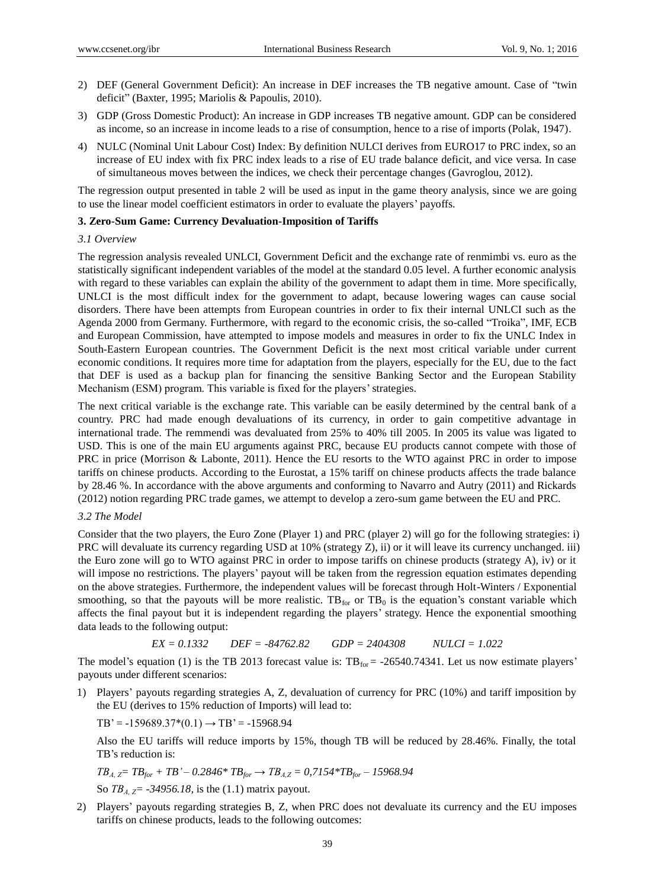- 2) DEF (General Government Deficit): An increase in DEF increases the TB negative amount. Case of "twin deficit" (Baxter, 1995; Mariolis & Papoulis, 2010).
- 3) GDP (Gross Domestic Product): An increase in GDP increases TB negative amount. GDP can be considered as income, so an increase in income leads to a rise of consumption, hence to a rise of imports (Polak, 1947).
- 4) NULC (Nominal Unit Labour Cost) Index: By definition NULCI derives from EURO17 to PRC index, so an increase of EU index with fix PRC index leads to a rise of EU trade balance deficit, and vice versa. In case of simultaneous moves between the indices, we check their percentage changes (Gavroglou, 2012).

The regression output presented in table 2 will be used as input in the game theory analysis, since we are going to use the linear model coefficient estimators in order to evaluate the players' payoffs.

#### **3. Zero-Sum Game: Currency Devaluation-Imposition of Tariffs**

## *3.1 Overview*

The regression analysis revealed UNLCI, Government Deficit and the exchange rate of renmimbi vs. euro as the statistically significant independent variables of the model at the standard 0.05 level. A further economic analysis with regard to these variables can explain the ability of the government to adapt them in time. More specifically, UNLCI is the most difficult index for the government to adapt, because lowering wages can cause social disorders. There have been attempts from European countries in order to fix their internal UNLCI such as the Agenda 2000 from Germany. Furthermore, with regard to the economic crisis, the so-called "Troika", IMF, ECB and European Commission, have attempted to impose models and measures in order to fix the UNLC Index in South-Eastern European countries. The Government Deficit is the next most critical variable under current economic conditions. It requires more time for adaptation from the players, especially for the EU, due to the fact that DEF is used as a backup plan for financing the sensitive Banking Sector and the European Stability Mechanism (ESM) program. This variable is fixed for the players' strategies.

The next critical variable is the exchange rate. This variable can be easily determined by the central bank of a country. PRC had made enough devaluations of its currency, in order to gain competitive advantage in international trade. The remmendi was devaluated from 25% to 40% till 2005. In 2005 its value was ligated to USD. This is one of the main EU arguments against PRC, because EU products cannot compete with those of PRC in price (Morrison & Labonte, 2011). Hence the EU resorts to the WTO against PRC in order to impose tariffs on chinese products. According to the Eurostat, a 15% tariff on chinese products affects the trade balance by 28.46 %. In accordance with the above arguments and conforming to Navarro and Autry (2011) and Rickards (2012) notion regarding PRC trade games, we attempt to develop a zero-sum game between the EU and PRC.

# *3.2 The Model*

Consider that the two players, the Euro Zone (Player 1) and PRC (player 2) will go for the following strategies: i) PRC will devaluate its currency regarding USD at 10% (strategy Z), ii) or it will leave its currency unchanged. iii) the Euro zone will go to WTO against PRC in order to impose tariffs on chinese products (strategy A), iv) or it will impose no restrictions. The players' payout will be taken from the regression equation estimates depending on the above strategies. Furthermore, the independent values will be forecast through Holt-Winters / Exponential smoothing, so that the payouts will be more realistic.  $TB_{for}$  or  $TB_0$  is the equation's constant variable which affects the final payout but it is independent regarding the players' strategy. Hence the exponential smoothing data leads to the following output:

$$
EX = 0.1332
$$
  $DEF = -84762.82$   $GDP = 2404308$   $NULCI = 1.022$ 

The model's equation (1) is the TB 2013 forecast value is:  $TB<sub>for</sub> = -26540.74341$ . Let us now estimate players' payouts under different scenarios:

1) Players' payouts regarding strategies A, Z, devaluation of currency for PRC (10%) and tariff imposition by the EU (derives to 15% reduction of Imports) will lead to:

 $TB' = -159689.37*(0.1) \rightarrow TB' = -15968.94$ 

Also the EU tariffs will reduce imports by 15%, though TB will be reduced by 28.46%. Finally, the total TB's reduction is:

$$
TB_{A,Z} = TB_{for} + TB' - 0.2846 * TB_{for} \rightarrow TB_{A,Z} = 0.7154 * TB_{for} - 15968.94
$$

So *ΤΒΑ, <sup>Ζ</sup>= -34956.18,* is the (1.1) matrix payout.

2) Players' payouts regarding strategies B, Z, when PRC does not devaluate its currency and the EU imposes tariffs on chinese products, leads to the following outcomes: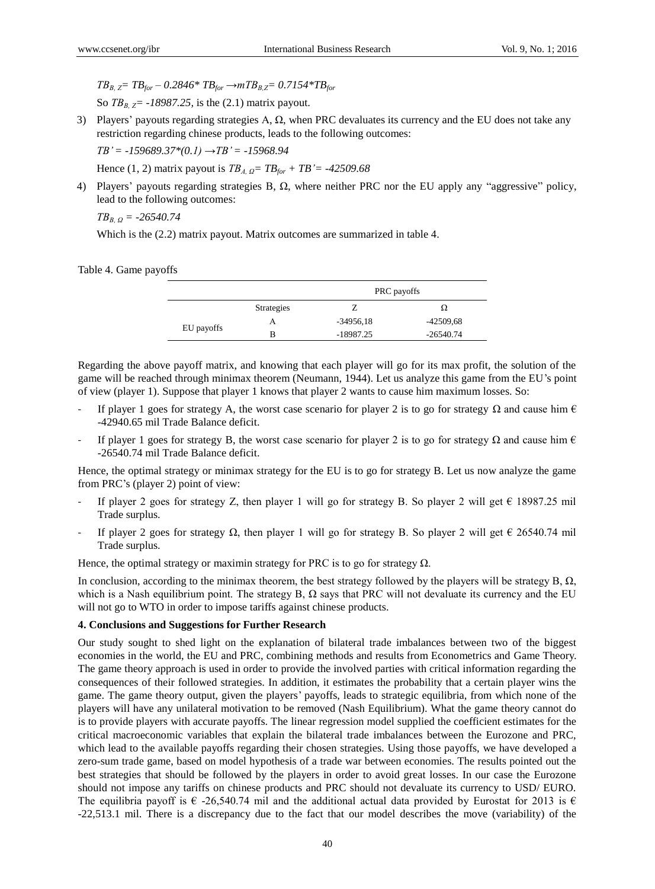*ΤΒΒ, <sup>Ζ</sup>= TBfor – 0.2846\* TBfor →mΤΒΒ,Ζ= 0.7154\*TBfor*

So *ΤΒΒ, <sup>Ζ</sup>= -18987.25,* is the (2.1) matrix payout.

3) Players' payouts regarding strategies Α, Ω, when PRC devaluates its currency and the EU does not take any restriction regarding chinese products, leads to the following outcomes:

*ΤΒ'= -159689.37\*(0.1) →TB'= -15968.94*

Hence (1, 2) matrix payout is *ΤΒΑ, <sup>Ω</sup>= TBfor + TB'= -42509.68*

4) Players' payouts regarding strategies  $B, \Omega$ , where neither PRC nor the EU apply any "aggressive" policy, lead to the following outcomes:

*ΤΒΒ, <sup>Ω</sup> = -26540.74* 

Which is the (2.2) matrix payout. Matrix outcomes are summarized in table 4.

#### Table 4. Game payoffs

|            |                   | PRC payoffs |             |  |
|------------|-------------------|-------------|-------------|--|
|            | <b>Strategies</b> |             |             |  |
| EU payoffs |                   | $-34956,18$ | $-42509.68$ |  |
|            | в                 | $-18987.25$ | $-26540.74$ |  |

Regarding the above payoff matrix, and knowing that each player will go for its max profit, the solution of the game will be reached through minimax theorem (Neumann, 1944). Let us analyze this game from the EU's point of view (player 1). Suppose that player 1 knows that player 2 wants to cause him maximum losses. So:

- If player 1 goes for strategy A, the worst case scenario for player 2 is to go for strategy  $\Omega$  and cause him  $\epsilon$ -42940.65 mil Trade Balance deficit.
- If player 1 goes for strategy B, the worst case scenario for player 2 is to go for strategy  $\Omega$  and cause him  $\epsilon$ -26540.74 mil Trade Balance deficit.

Hence, the optimal strategy or minimax strategy for the EU is to go for strategy B. Let us now analyze the game from PRC's (player 2) point of view:

- If player 2 goes for strategy Z, then player 1 will go for strategy B. So player 2 will get  $\epsilon$  18987.25 mil Trade surplus.
- If player 2 goes for strategy  $\Omega$ , then player 1 will go for strategy B. So player 2 will get  $\epsilon$  26540.74 mil Trade surplus.

Hence, the optimal strategy or maximin strategy for PRC is to go for strategy  $\Omega$ .

In conclusion, according to the minimax theorem, the best strategy followed by the players will be strategy B,  $\Omega$ , which is a Nash equilibrium point. The strategy B,  $\Omega$  says that PRC will not devaluate its currency and the EU will not go to WTO in order to impose tariffs against chinese products.

#### **4. Conclusions and Suggestions for Further Research**

Our study sought to shed light on the explanation of bilateral trade imbalances between two of the biggest economies in the world, the EU and PRC, combining methods and results from Econometrics and Game Theory. The game theory approach is used in order to provide the involved parties with critical information regarding the consequences of their followed strategies. In addition, it estimates the probability that a certain player wins the game. The game theory output, given the players' payoffs, leads to strategic equilibria, from which none of the players will have any unilateral motivation to be removed (Nash Equilibrium). What the game theory cannot do is to provide players with accurate payoffs. The linear regression model supplied the coefficient estimates for the critical macroeconomic variables that explain the bilateral trade imbalances between the Eurozone and PRC, which lead to the available payoffs regarding their chosen strategies. Using those payoffs, we have developed a zero-sum trade game, based on model hypothesis of a trade war between economies. The results pointed out the best strategies that should be followed by the players in order to avoid great losses. In our case the Eurozone should not impose any tariffs on chinese products and PRC should not devaluate its currency to USD/ EURO. The equilibria payoff is  $\epsilon$  -26,540.74 mil and the additional actual data provided by Eurostat for 2013 is  $\epsilon$ -22,513.1 mil. There is a discrepancy due to the fact that our model describes the move (variability) of the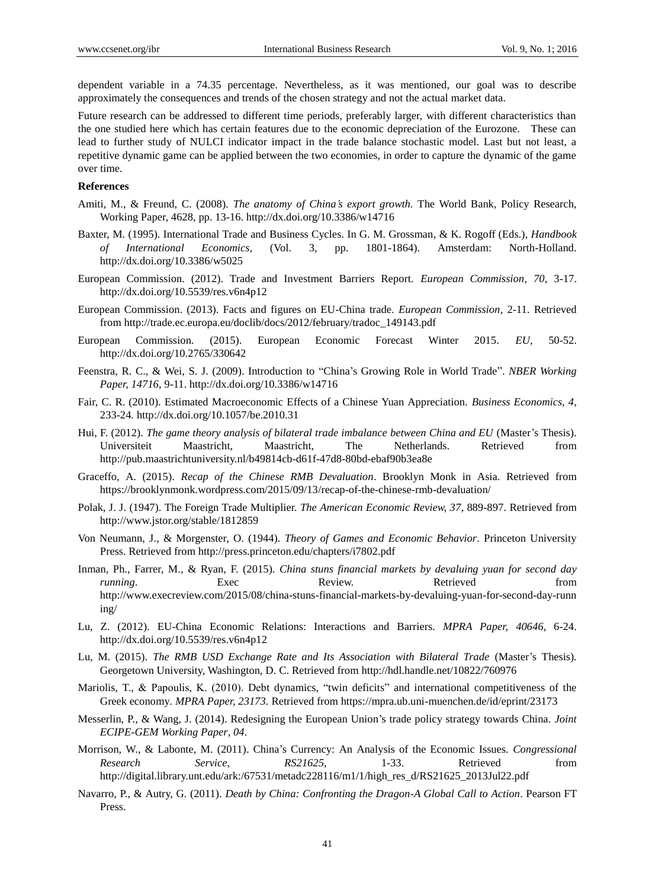dependent variable in a 74.35 percentage. Nevertheless, as it was mentioned, our goal was to describe approximately the consequences and trends of the chosen strategy and not the actual market data.

Future research can be addressed to different time periods, preferably larger, with different characteristics than the one studied here which has certain features due to the economic depreciation of the Eurozone. These can lead to further study of NULCI indicator impact in the trade balance stochastic model. Last but not least, a repetitive dynamic game can be applied between the two economies, in order to capture the dynamic of the game over time.

## **References**

- Amiti, M., & Freund, C. (2008). *The anatomy of China's export growth.* The World Bank, Policy Research, Working Paper, 4628, pp. 13-16. http://dx.doi.org/10.3386/w14716
- Baxter, M. (1995). International Trade and Business Cycles. In G. M. Grossman, & K. Rogoff (Eds.), *Handbook of International Economics,* (Vol. 3, pp. 1801-1864). Amsterdam: North-Holland. http://dx.doi.org/10.3386/w5025
- European Commission. (2012). Trade and Investment Barriers Report. *European Commission, 70,* 3-17. http://dx.doi.org/10.5539/res.v6n4p12
- European Commission. (2013). Facts and figures on EU-China trade. *European Commission,* 2-11. Retrieved from http://trade.ec.europa.eu/doclib/docs/2012/february/tradoc\_149143.pdf
- European Commission. (2015). European Economic Forecast Winter 2015. *EU,* 50-52. http://dx.doi.org/10.2765/330642
- Feenstra, R. C., & Wei, S. J. (2009). Introduction to "China's Growing Role in World Trade". *NBER Working Paper, 14716*, 9-11. http://dx.doi.org/10.3386/w14716
- Fair, C. R. (2010). Estimated Macroeconomic Effects of a Chinese Yuan Appreciation. *Business Economics, 4,*  233-24*.* http://dx.doi.org/10.1057/be.2010.31
- Hui, F. (2012). *The game theory analysis of bilateral trade imbalance between China and EU* (Master's Thesis). Universiteit Maastricht, Maastricht, The Netherlands. Retrieved from http://pub.maastrichtuniversity.nl/b49814cb-d61f-47d8-80bd-ebaf90b3ea8e
- Graceffo, A. (2015). *Recap of the Chinese RMB Devaluation*. Brooklyn Monk in Asia. Retrieved from https://brooklynmonk.wordpress.com/2015/09/13/recap-of-the-chinese-rmb-devaluation/
- Polak, J. J. (1947). The Foreign Trade Multiplier. *The American Economic Review, 37*, 889-897. Retrieved from <http://www.jstor.org/stable/1812859>
- Von Neumann, J., & Morgenster, O. (1944). *Theory of Games and Economic Behavior*. Princeton University Press. Retrieved from<http://press.princeton.edu/chapters/i7802.pdf>
- Inman, Ph., Farrer, M., & Ryan, F. (2015). *China stuns financial markets by devaluing yuan for second day running*. Exec Review. Retrieved from http://www.execreview.com/2015/08/china-stuns-financial-markets-by-devaluing-yuan-for-second-day-runn ing/
- Lu, Z. (2012). EU-China Economic Relations: Interactions and Barriers. *MPRA Paper, 40646*, 6-24. http://dx.doi.org/10.5539/res.v6n4p12
- Lu, M. (2015). *The RMB USD Exchange Rate and Its Association with Bilateral Trade* (Master's Thesis)*.* Georgetown University, Washington, D. C. Retrieved from http://hdl.handle.net/10822/760976
- Mariolis, T., & Papoulis, Κ. (2010). Debt dynamics, "twin deficits" and international competitiveness of the Greek economy*. MPRA Paper, 23173.* Retrieved from <https://mpra.ub.uni-muenchen.de/id/eprint/23173>
- Messerlin, P., & Wang, J. (2014). Redesigning the European Union's trade policy strategy towards China. *Joint ECIPE-GEM Working Paper, 04*.
- Morrison, W., & Labonte, M. (2011). China's Currency: An Analysis of the Economic Issues. *Congressional Research Service, RS21625,* 1-33. Retrieved from http://digital.library.unt.edu/ark:/67531/metadc228116/m1/1/high\_res\_d/RS21625\_2013Jul22.pdf
- Navarro, P., & Autry, G. (2011). *Death by China: Confronting the Dragon-A Global Call to Action*. Pearson FT Press.